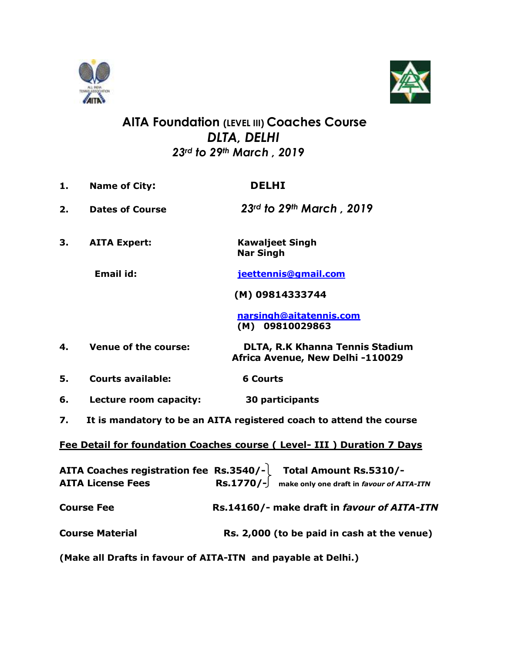



## **AITA Foundation (LEVEL III) Coaches Course**  *DLTA, DELHI 23rd to 29th March , 2019*

- **1. Name of City: DELHI 2. Dates of Course** *23rd to 29th March , 2019*
- **3. AITA Expert: Kawaljeet Singh Nar Singh**

**Email id: [jeettennis@gmail.com](mailto:jeettennis@gmail.com)**

 **(M) 09814333744**

 **[narsingh@aitatennis.com](mailto:narsingh@aitatennis.com) (M) 09810029863**

- **4. Venue of the course: DLTA, R.K Khanna Tennis Stadium Africa Avenue, New Delhi -110029**
- **5. Courts available: 6 Courts**
- **6. Lecture room capacity: 30 participants**
- **7. It is mandatory to be an AITA registered coach to attend the course**

**Fee Detail for foundation Coaches course ( Level- III ) Duration 7 Days**

| <b>AITA License Fees</b> | AITA Coaches registration fee Rs.3540/- Total Amount Rs.5310/-<br>$\text{Rs.1770}/\text{-}$ make only one draft in favour of AITA-ITN |
|--------------------------|---------------------------------------------------------------------------------------------------------------------------------------|
| <b>Course Fee</b>        | Rs.14160/- make draft in favour of AITA-ITN                                                                                           |
| <b>Course Material</b>   | Rs. 2,000 (to be paid in cash at the venue)                                                                                           |

**(Make all Drafts in favour of AITA-ITN and payable at Delhi.)**